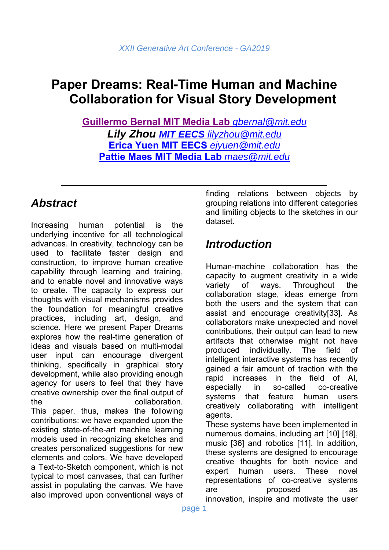# **Paper Dreams: Real-Time Human and Machine Collaboration for Visual Story Development**

**Guillermo Bernal MIT Media Lab** *gbernal@mit.edu Lily Zhou MIT EECS lilyzhou@mit.edu* **Erica Yuen MIT EECS** *ejyuen@mit.edu* **Pattie Maes MIT Media Lab** *maes@mit.edu*

# *Abstract*

Increasing human potential is the underlying incentive for all technological advances. In creativity, technology can be used to facilitate faster design and construction, to improve human creative capability through learning and training, and to enable novel and innovative ways to create. The capacity to express our thoughts with visual mechanisms provides the foundation for meaningful creative practices, including art, design, and science. Here we present Paper Dreams explores how the real-time generation of ideas and visuals based on multi-modal user input can encourage divergent thinking, specifically in graphical story development, while also providing enough agency for users to feel that they have creative ownership over the final output of the collaboration. This paper, thus, makes the following contributions: we have expanded upon the existing state-of-the-art machine learning models used in recognizing sketches and creates personalized suggestions for new elements and colors. We have developed a Text-to-Sketch component, which is not typical to most canvases, that can further assist in populating the canvas. We have also improved upon conventional ways of finding relations between objects by grouping relations into different categories and limiting objects to the sketches in our dataset.

# *Introduction*

Human-machine collaboration has the capacity to augment creativity in a wide variety of ways. Throughout the collaboration stage, ideas emerge from both the users and the system that can assist and encourage creativity[33]. As collaborators make unexpected and novel contributions, their output can lead to new artifacts that otherwise might not have produced individually. The field of intelligent interactive systems has recently gained a fair amount of traction with the rapid increases in the field of AI, especially in so-called co-creative systems that feature human users creatively collaborating with intelligent agents.

These systems have been implemented in numerous domains, including art [10] [18], music [36] and robotics [11]. In addition, these systems are designed to encourage creative thoughts for both novice and expert human users. These novel representations of co-creative systems are proposed as innovation, inspire and motivate the user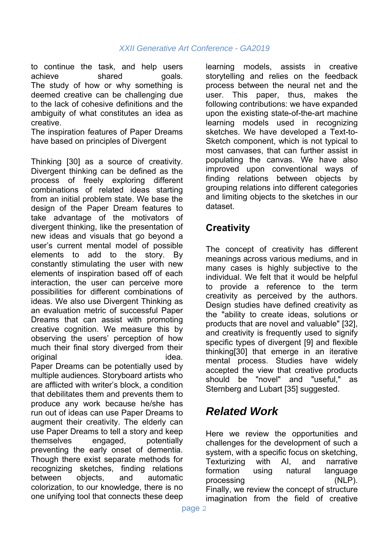to continue the task, and help users achieve shared goals. The study of how or why something is deemed creative can be challenging due to the lack of cohesive definitions and the ambiguity of what constitutes an idea as creative.

The inspiration features of Paper Dreams have based on principles of Divergent

Thinking [30] as a source of creativity. Divergent thinking can be defined as the process of freely exploring different combinations of related ideas starting from an initial problem state. We base the design of the Paper Dream features to take advantage of the motivators of divergent thinking, like the presentation of new ideas and visuals that go beyond a user's current mental model of possible elements to add to the story. By constantly stimulating the user with new elements of inspiration based off of each interaction, the user can perceive more possibilities for different combinations of ideas. We also use Divergent Thinking as an evaluation metric of successful Paper Dreams that can assist with promoting creative cognition. We measure this by observing the users' perception of how much their final story diverged from their original idea. Paper Dreams can be potentially used by multiple audiences. Storyboard artists who are afflicted with writer's block, a condition that debilitates them and prevents them to produce any work because he/she has run out of ideas can use Paper Dreams to augment their creativity. The elderly can use Paper Dreams to tell a story and keep themselves engaged, potentially preventing the early onset of dementia. Though there exist separate methods for recognizing sketches, finding relations between objects, and automatic colorization, to our knowledge, there is no one unifying tool that connects these deep

learning models, assists in creative storytelling and relies on the feedback process between the neural net and the user. This paper, thus, makes the following contributions: we have expanded upon the existing state-of-the-art machine learning models used in recognizing sketches. We have developed a Text-to-Sketch component, which is not typical to most canvases, that can further assist in populating the canvas. We have also improved upon conventional ways of finding relations between objects by grouping relations into different categories and limiting objects to the sketches in our dataset.

## **Creativity**

The concept of creativity has different meanings across various mediums, and in many cases is highly subjective to the individual. We felt that it would be helpful to provide a reference to the term creativity as perceived by the authors. Design studies have defined creativity as the "ability to create ideas, solutions or products that are novel and valuable" [32], and creativity is frequently used to signify specific types of divergent [9] and flexible thinking[30] that emerge in an iterative mental process. Studies have widely accepted the view that creative products should be "novel" and "useful," as Sternberg and Lubart [35] suggested.

# *Related Work*

Here we review the opportunities and challenges for the development of such a system, with a specific focus on sketching, Texturizing with AI, and narrative formation using natural language processing (NLP). Finally, we review the concept of structure imagination from the field of creative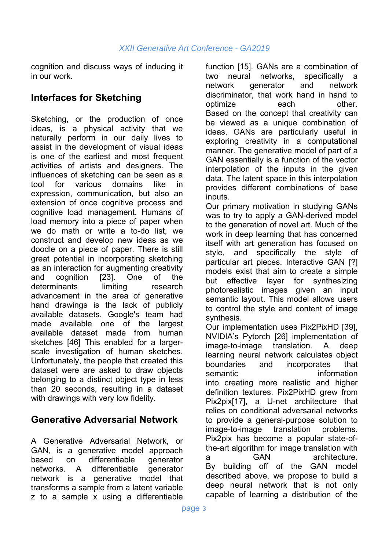cognition and discuss ways of inducing it in our work.

# **Interfaces for Sketching**

Sketching, or the production of once ideas, is a physical activity that we naturally perform in our daily lives to assist in the development of visual ideas is one of the earliest and most frequent activities of artists and designers. The influences of sketching can be seen as a tool for various domains like in expression, communication, but also an extension of once cognitive process and cognitive load management. Humans of load memory into a piece of paper when we do math or write a to-do list, we construct and develop new ideas as we doodle on a piece of paper. There is still great potential in incorporating sketching as an interaction for augmenting creativity and cognition [23]. One of the determinants limiting research advancement in the area of generative hand drawings is the lack of publicly available datasets. Google's team had made available one of the largest available dataset made from human sketches [46] This enabled for a largerscale investigation of human sketches. Unfortunately, the people that created this dataset were are asked to draw objects belonging to a distinct object type in less than 20 seconds, resulting in a dataset with drawings with very low fidelity.

### **Generative Adversarial Network**

A Generative Adversarial Network, or GAN, is a generative model approach based on differentiable generator networks. A differentiable generator network is a generative model that transforms a sample from a latent variable z to a sample x using a differentiable function [15]. GANs are a combination of two neural networks, specifically a network generator and network discriminator, that work hand in hand to optimize each other. Based on the concept that creativity can be viewed as a unique combination of ideas, GANs are particularly useful in exploring creativity in a computational manner. The generative model of part of a GAN essentially is a function of the vector interpolation of the inputs in the given data. The latent space in this interpolation provides different combinations of base inputs.

Our primary motivation in studying GANs was to try to apply a GAN-derived model to the generation of novel art. Much of the work in deep learning that has concerned itself with art generation has focused on style, and specifically the style of particular art pieces. Interactive GAN [?] models exist that aim to create a simple but effective layer for synthesizing photorealistic images given an input semantic layout. This model allows users to control the style and content of image synthesis.

Our implementation uses Pix2PixHD [39], NVIDIA's Pytorch [26] implementation of image-to-image translation. A deep learning neural network calculates object boundaries and incorporates that semantic information into creating more realistic and higher definition textures. Pix2PixHD grew from Pix2pix[17], a U-net architecture that relies on conditional adversarial networks to provide a general-purpose solution to image-to-image translation problems. Pix2pix has become a popular state-ofthe-art algorithm for image translation with a GAN architecture. By building off of the GAN model described above, we propose to build a deep neural network that is not only capable of learning a distribution of the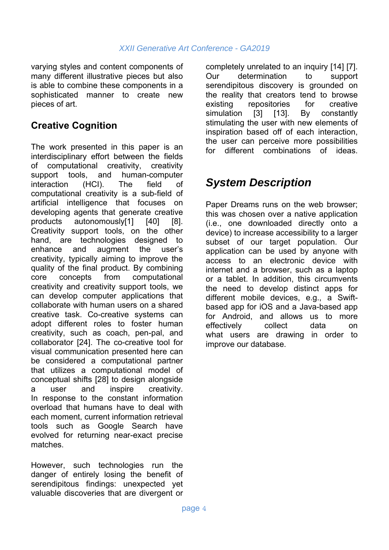varying styles and content components of many different illustrative pieces but also is able to combine these components in a sophisticated manner to create new pieces of art.

# **Creative Cognition**

The work presented in this paper is an interdisciplinary effort between the fields of computational creativity, creativity support tools, and human-computer interaction (HCI). The field of computational creativity is a sub-field of artificial intelligence that focuses on developing agents that generate creative products autonomously[1] [40] [8]. Creativity support tools, on the other hand, are technologies designed to enhance and augment the user's creativity, typically aiming to improve the quality of the final product. By combining core concepts from computational creativity and creativity support tools, we can develop computer applications that collaborate with human users on a shared creative task. Co-creative systems can adopt different roles to foster human creativity, such as coach, pen-pal, and collaborator [24]. The co-creative tool for visual communication presented here can be considered a computational partner that utilizes a computational model of conceptual shifts [28] to design alongside a user and inspire creativity. In response to the constant information overload that humans have to deal with each moment, current information retrieval tools such as Google Search have evolved for returning near-exact precise matches.

However, such technologies run the danger of entirely losing the benefit of serendipitous findings: unexpected yet valuable discoveries that are divergent or

completely unrelated to an inquiry [14] [7]. Our determination to support serendipitous discovery is grounded on the reality that creators tend to browse existing repositories for creative simulation [3] [13]. By constantly stimulating the user with new elements of inspiration based off of each interaction, the user can perceive more possibilities for different combinations of ideas.

# *System Description*

Paper Dreams runs on the web browser; this was chosen over a native application (i.e., one downloaded directly onto a device) to increase accessibility to a larger subset of our target population. Our application can be used by anyone with access to an electronic device with internet and a browser, such as a laptop or a tablet. In addition, this circumvents the need to develop distinct apps for different mobile devices, e.g., a Swiftbased app for iOS and a Java-based app for Android, and allows us to more effectively collect data on what users are drawing in order to improve our database.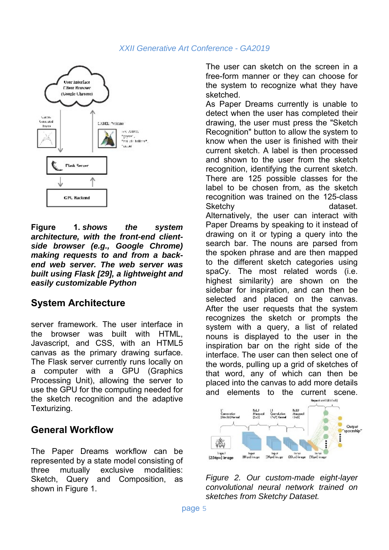

**Figure 1.** *shows the system architecture, with the front-end clientside browser (e.g., Google Chrome) making requests to and from a backend web server. The web server was built using Flask [29], a lightweight and easily customizable Python*

## **System Architecture**

server framework. The user interface in the browser was built with HTML, Javascript, and CSS, with an HTML5 canvas as the primary drawing surface. The Flask server currently runs locally on a computer with a GPU (Graphics Processing Unit), allowing the server to use the GPU for the computing needed for the sketch recognition and the adaptive Texturizing.

### **General Workflow**

The Paper Dreams workflow can be represented by a state model consisting of three mutually exclusive modalities: Sketch, Query and Composition, as shown in Figure 1.

The user can sketch on the screen in a free-form manner or they can choose for the system to recognize what they have sketched.

As Paper Dreams currently is unable to detect when the user has completed their drawing, the user must press the "Sketch Recognition" button to allow the system to know when the user is finished with their current sketch. A label is then processed and shown to the user from the sketch recognition, identifying the current sketch. There are 125 possible classes for the label to be chosen from, as the sketch recognition was trained on the 125-class Sketchy dataset. Alternatively, the user can interact with Paper Dreams by speaking to it instead of drawing on it or typing a query into the search bar. The nouns are parsed from the spoken phrase and are then mapped to the different sketch categories using spaCy. The most related words (i.e. highest similarity) are shown on the sidebar for inspiration, and can then be selected and placed on the canvas. After the user requests that the system recognizes the sketch or prompts the system with a query, a list of related nouns is displayed to the user in the inspiration bar on the right side of the interface. The user can then select one of the words, pulling up a grid of sketches of that word, any of which can then be placed into the canvas to add more details and elements to the current scene.



*Figure 2. Our custom-made eight-layer convolutional neural network trained on sketches from Sketchy Dataset.*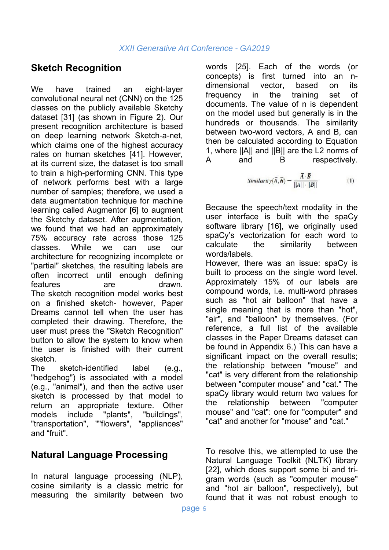### **Sketch Recognition**

We have trained an eight-layer convolutional neural net (CNN) on the 125 classes on the publicly available Sketchy dataset [31] (as shown in Figure 2). Our present recognition architecture is based on deep learning network Sketch-a-net, which claims one of the highest accuracy rates on human sketches [41]. However, at its current size, the dataset is too small to train a high-performing CNN. This type of network performs best with a large number of samples; therefore, we used a data augmentation technique for machine learning called Augmentor [6] to augment the Sketchy dataset. After augmentation, we found that we had an approximately 75% accuracy rate across those 125 classes. While we can use our architecture for recognizing incomplete or "partial" sketches, the resulting labels are often incorrect until enough defining features are drawn. The sketch recognition model works best on a finished sketch- however, Paper Dreams cannot tell when the user has completed their drawing. Therefore, the user must press the "Sketch Recognition" button to allow the system to know when the user is finished with their current sketch.

The sketch-identified label (e.g., "hedgehog") is associated with a model (e.g., "animal"), and then the active user sketch is processed by that model to return an appropriate texture. Other models include "plants", "buildings", "transportation", ""flowers", "appliances" and "fruit".

## **Natural Language Processing**

In natural language processing (NLP), cosine similarity is a classic metric for measuring the similarity between two

words [25]. Each of the words (or concepts) is first turned into an ndimensional vector, based on its frequency in the training set of documents. The value of n is dependent on the model used but generally is in the hundreds or thousands. The similarity between two-word vectors, A and B, can then be calculated according to Equation 1, where ||A|| and ||B|| are the L2 norms of A and B respectively.

$$
Similarity(\vec{A}, \vec{B}) = \frac{\vec{A} \cdot \vec{B}}{||A|| \cdot ||B||}
$$
 (1)

Because the speech/text modality in the user interface is built with the spaCy software library [16], we originally used spaCy's vectorization for each word to calculate the similarity between words/labels.

However, there was an issue: spaCy is built to process on the single word level. Approximately 15% of our labels are compound words, i.e. multi-word phrases such as "hot air balloon" that have a single meaning that is more than "hot", "air", and "balloon" by themselves. (For reference, a full list of the available classes in the Paper Dreams dataset can be found in Appendix 6.) This can have a significant impact on the overall results; the relationship between "mouse" and "cat" is very different from the relationship between "computer mouse" and "cat." The spaCy library would return two values for the relationship between "computer mouse" and "cat": one for "computer" and "cat" and another for "mouse" and "cat."

To resolve this, we attempted to use the Natural Language Toolkit (NLTK) library [22], which does support some bi and trigram words (such as "computer mouse" and "hot air balloon", respectively), but found that it was not robust enough to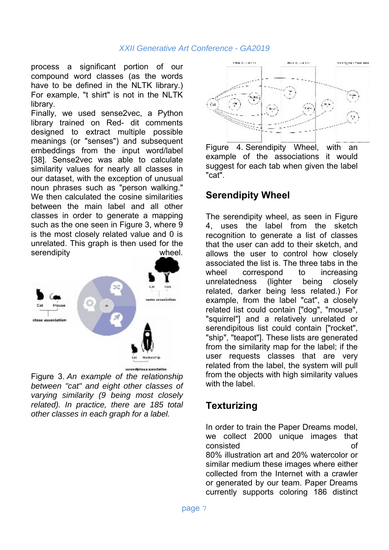process a significant portion of our compound word classes (as the words have to be defined in the NLTK library.) For example, "t shirt" is not in the NLTK library.

Finally, we used sense2vec, a Python library trained on Red- dit comments designed to extract multiple possible meanings (or "senses") and subsequent embeddings from the input word/label [38]. Sense2vec was able to calculate similarity values for nearly all classes in our dataset, with the exception of unusual noun phrases such as "person walking." We then calculated the cosine similarities between the main label and all other classes in order to generate a mapping such as the one seen in Figure 3, where 9 is the most closely related value and 0 is unrelated. This graph is then used for the serendipity wheel.



Figure 3. *An example of the relationship between "cat" and eight other classes of varying similarity (9 being most closely related). In practice, there are 185 total other classes in each graph for a label.* 



Figure 4. Serendipity Wheel, with an example of the associations it would suggest for each tab when given the label "cat".

#### **Serendipity Wheel**

The serendipity wheel, as seen in Figure 4, uses the label from the sketch recognition to generate a list of classes that the user can add to their sketch, and allows the user to control how closely associated the list is. The three tabs in the wheel correspond to increasing unrelatedness (lighter being closely related, darker being less related.) For example, from the label "cat", a closely related list could contain ["dog", "mouse", "squirrel"] and a relatively unrelated or serendipitous list could contain ["rocket", "ship", "teapot"]. These lists are generated from the similarity map for the label; if the user requests classes that are very related from the label, the system will pull from the objects with high similarity values with the label.

### **Texturizing**

In order to train the Paper Dreams model, we collect 2000 unique images that consisted of 80% illustration art and 20% watercolor or similar medium these images where either collected from the Internet with a crawler or generated by our team. Paper Dreams currently supports coloring 186 distinct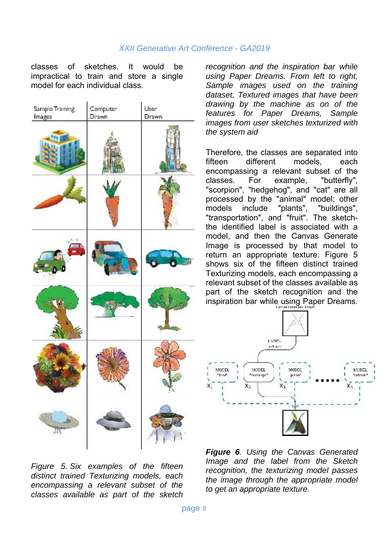classes of sketches. It would be impractical to train and store a single model for each individual class.

| Sample Training<br>Images | Computer<br>Drawn | User<br>Drawn |
|---------------------------|-------------------|---------------|
|                           |                   |               |
|                           |                   |               |
|                           |                   |               |
|                           |                   |               |
|                           | <b>COLL</b>       |               |
| 4<br>AŊ,                  |                   |               |

*Figure 5. Six examples of the fifteen distinct trained Texturizing models, each encompassing a relevant subset of the classes available as part of the sketch* 

*recognition and the inspiration bar while using Paper Dreams. From left to right, Sample images used on the training dataset, Textured images that have been drawing by the machine as on of the features for Paper Dreams, Sample images from user sketches texturized with the system aid* 

Therefore, the classes are separated into fifteen different models, each encompassing a relevant subset of the classes. For example, "butterfly", "scorpion", "hedgehog", and "cat" are all processed by the "animal" model; other models include "plants", "buildings", "transportation", and "fruit". The sketchthe identified label is associated with a model, and then the Canvas Generate Image is processed by that model to return an appropriate texture. Figure 5 shows six of the fifteen distinct trained Texturizing models, each encompassing a relevant subset of the classes available as part of the sketch recognition and the inspiration bar while using Paper Dreams.



*Figure 6. Using the Canvas Generated Image and the label from the Sketch recognition, the texturizing model passes the image through the appropriate model to get an appropriate texture.*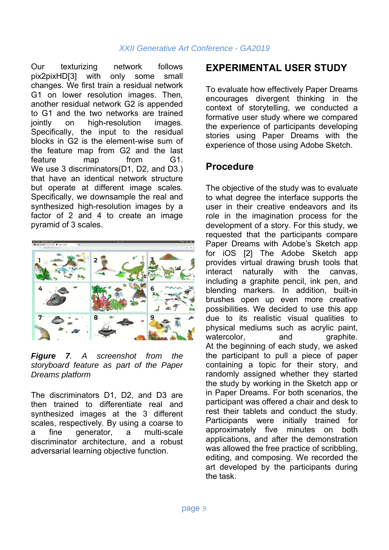Our texturizing network follows pix2pixHD[3] with only some small changes. We first train a residual network G1 on lower resolution images. Then, another residual network G2 is appended to G1 and the two networks are trained jointly on high-resolution images. Specifically, the input to the residual blocks in G2 is the element-wise sum of the feature map from G2 and the last feature map from G1. We use 3 discriminators(D1, D2, and D3.) that have an identical network structure but operate at different image scales. Specifically, we downsample the real and synthesized high-resolution images by a factor of 2 and 4 to create an image pyramid of 3 scales.



*Figure 7. A screenshot from the storyboard feature as part of the Paper Dreams platform*

The discriminators D1, D2, and D3 are then trained to differentiate real and synthesized images at the 3 different scales, respectively. By using a coarse to a fine generator, a multi-scale discriminator architecture, and a robust adversarial learning objective function.

### **EXPERIMENTAL USER STUDY**

To evaluate how effectively Paper Dreams encourages divergent thinking in the context of storytelling, we conducted a formative user study where we compared the experience of participants developing stories using Paper Dreams with the experience of those using Adobe Sketch.

### **Procedure**

The objective of the study was to evaluate to what degree the interface supports the user in their creative endeavors and its role in the imagination process for the development of a story. For this study, we requested that the participants compare Paper Dreams with Adobe's Sketch app for iOS [2] The Adobe Sketch app provides virtual drawing brush tools that interact naturally with the canvas, including a graphite pencil, ink pen, and blending markers. In addition, built-in brushes open up even more creative possibilities. We decided to use this app due to its realistic visual qualities to physical mediums such as acrylic paint, watercolor, and graphite. At the beginning of each study, we asked the participant to pull a piece of paper containing a topic for their story, and randomly assigned whether they started the study by working in the Sketch app or in Paper Dreams. For both scenarios, the participant was offered a chair and desk to rest their tablets and conduct the study. Participants were initially trained for approximately five minutes on both applications, and after the demonstration was allowed the free practice of scribbling, editing, and composing. We recorded the art developed by the participants during the task.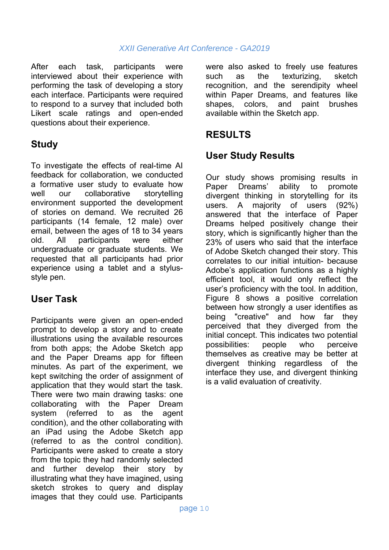After each task, participants were interviewed about their experience with performing the task of developing a story each interface. Participants were required to respond to a survey that included both Likert scale ratings and open-ended questions about their experience.

## **Study**

To investigate the effects of real-time AI feedback for collaboration, we conducted a formative user study to evaluate how well our collaborative storytelling environment supported the development of stories on demand. We recruited 26 participants (14 female, 12 male) over email, between the ages of 18 to 34 years old. All participants were either undergraduate or graduate students. We requested that all participants had prior experience using a tablet and a stylusstyle pen.

### **User Task**

Participants were given an open-ended prompt to develop a story and to create illustrations using the available resources from both apps; the Adobe Sketch app and the Paper Dreams app for fifteen minutes. As part of the experiment, we kept switching the order of assignment of application that they would start the task. There were two main drawing tasks: one collaborating with the Paper Dream system (referred to as the agent condition), and the other collaborating with an iPad using the Adobe Sketch app (referred to as the control condition). Participants were asked to create a story from the topic they had randomly selected and further develop their story by illustrating what they have imagined, using sketch strokes to query and display images that they could use. Participants

were also asked to freely use features such as the texturizing, sketch recognition, and the serendipity wheel within Paper Dreams, and features like shapes, colors, and paint brushes available within the Sketch app.

### **RESULTS**

### **User Study Results**

Our study shows promising results in Paper Dreams' ability to promote divergent thinking in storytelling for its users. A majority of users (92%) answered that the interface of Paper Dreams helped positively change their story, which is significantly higher than the 23% of users who said that the interface of Adobe Sketch changed their story. This correlates to our initial intuition- because Adobe's application functions as a highly efficient tool, it would only reflect the user's proficiency with the tool. In addition, Figure 8 shows a positive correlation between how strongly a user identifies as being "creative" and how far they perceived that they diverged from the initial concept. This indicates two potential possibilities: people who perceive themselves as creative may be better at divergent thinking regardless of the interface they use, and divergent thinking is a valid evaluation of creativity.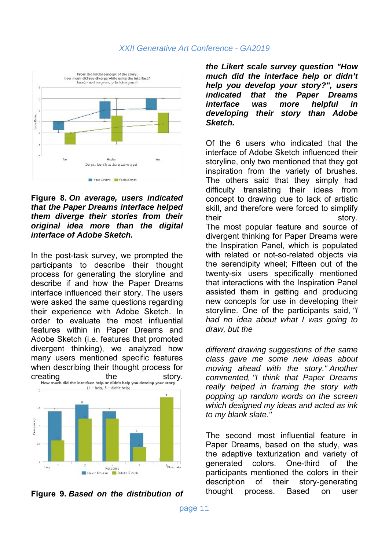

#### **Figure 8.** *On average, users indicated that the Paper Dreams interface helped them diverge their stories from their original idea more than the digital interface of Adobe Sketch.*

In the post-task survey, we prompted the participants to describe their thought process for generating the storyline and describe if and how the Paper Dreams interface influenced their story. The users were asked the same questions regarding their experience with Adobe Sketch. In order to evaluate the most influential features within in Paper Dreams and Adobe Sketch (i.e. features that promoted divergent thinking), we analyzed how many users mentioned specific features when describing their thought process for





*the Likert scale survey question "How much did the interface help or didn't help you develop your story?", users indicated that the Paper Dreams interface was more helpful in developing their story than Adobe Sketch.*

Of the 6 users who indicated that the interface of Adobe Sketch influenced their storyline, only two mentioned that they got inspiration from the variety of brushes. The others said that they simply had difficulty translating their ideas from concept to drawing due to lack of artistic skill, and therefore were forced to simplify their story. The most popular feature and source of divergent thinking for Paper Dreams were the Inspiration Panel, which is populated with related or not-so-related objects via the serendipity wheel; Fifteen out of the twenty-six users specifically mentioned that interactions with the Inspiration Panel assisted them in getting and producing new concepts for use in developing their storyline. One of the participants said, *"I had no idea about what I was going to draw, but the*

*different drawing suggestions of the same class gave me some new ideas about moving ahead with the story." Another commented, "I think that Paper Dreams really helped in framing the story with popping up random words on the screen which designed my ideas and acted as ink to my blank slate."* 

The second most influential feature in Paper Dreams, based on the study, was the adaptive texturization and variety of generated colors. One-third of the participants mentioned the colors in their description of their story-generating thought process. Based on user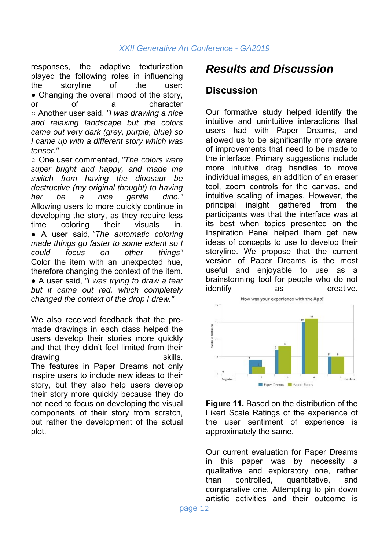responses, the adaptive texturization played the following roles in influencing the storyline of the user: • Changing the overall mood of the story, or of a character ○ Another user said, *"I was drawing a nice and relaxing landscape but the colors came out very dark (grey, purple, blue) so I came up with a different story which was tenser."*

○ One user commented, *"The colors were super bright and happy, and made me switch from having the dinosaur be destructive (my original thought) to having her be a nice gentle dino."* Allowing users to more quickly continue in developing the story, as they require less time coloring their visuals in. ● A user said, *"The automatic coloring made things go faster to some extent so I could focus on other things"* Color the item with an unexpected hue, therefore changing the context of the item. ● A user said, *"I was trying to draw a tear but it came out red, which completely changed the context of the drop I drew."* 

We also received feedback that the premade drawings in each class helped the users develop their stories more quickly and that they didn't feel limited from their drawing the contract of the skills. The features in Paper Dreams not only inspire users to include new ideas to their story, but they also help users develop their story more quickly because they do not need to focus on developing the visual components of their story from scratch, but rather the development of the actual plot.

# *Results and Discussion*

#### **Discussion**

Our formative study helped identify the intuitive and unintuitive interactions that users had with Paper Dreams, and allowed us to be significantly more aware of improvements that need to be made to the interface. Primary suggestions include more intuitive drag handles to move individual images, an addition of an eraser tool, zoom controls for the canvas, and intuitive scaling of images. However, the principal insight gathered from the participants was that the interface was at its best when topics presented on the Inspiration Panel helped them get new ideas of concepts to use to develop their storyline. We propose that the current version of Paper Dreams is the most useful and enjoyable to use as a brainstorming tool for people who do not identify as creative.



**Figure 11.** Based on the distribution of the Likert Scale Ratings of the experience of the user sentiment of experience is approximately the same.

Our current evaluation for Paper Dreams in this paper was by necessity a qualitative and exploratory one, rather than controlled, quantitative, and comparative one. Attempting to pin down artistic activities and their outcome is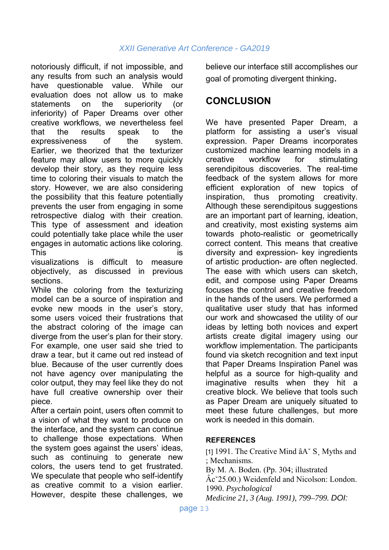notoriously difficult, if not impossible, and any results from such an analysis would have questionable value. While our evaluation does not allow us to make statements on the superiority (or inferiority) of Paper Dreams over other creative workflows, we nevertheless feel that the results speak to the expressiveness of the system. Earlier, we theorized that the texturizer feature may allow users to more quickly develop their story, as they require less time to coloring their visuals to match the story. However, we are also considering the possibility that this feature potentially prevents the user from engaging in some retrospective dialog with their creation. This type of assessment and ideation could potentially take place while the user engages in automatic actions like coloring. This is

visualizations is difficult to measure objectively, as discussed in previous sections.

While the coloring from the texturizing model can be a source of inspiration and evoke new moods in the user's story, some users voiced their frustrations that the abstract coloring of the image can diverge from the user's plan for their story. For example, one user said she tried to draw a tear, but it came out red instead of blue. Because of the user currently does not have agency over manipulating the color output, they may feel like they do not have full creative ownership over their piece.

After a certain point, users often commit to a vision of what they want to produce on the interface, and the system can continue to challenge those expectations. When the system goes against the users' ideas, such as continuing to generate new colors, the users tend to get frustrated. We speculate that people who self-identify as creative commit to a vision earlier. However, despite these challenges, we believe our interface still accomplishes our goal of promoting divergent thinking.

## **CONCLUSION**

We have presented Paper Dream, a platform for assisting a user's visual expression. Paper Dreams incorporates customized machine learning models in a creative workflow for stimulating serendipitous discoveries. The real-time feedback of the system allows for more efficient exploration of new topics of inspiration, thus promoting creativity. Although these serendipitous suggestions are an important part of learning, ideation, and creativity, most existing systems aim towards photo-realistic or geometrically correct content. This means that creative diversity and expression- key ingredients of artistic production- are often neglected. The ease with which users can sketch, edit, and compose using Paper Dreams focuses the control and creative freedom in the hands of the users. We performed a qualitative user study that has informed our work and showcased the utility of our ideas by letting both novices and expert artists create digital imagery using our workflow implementation. The participants found via sketch recognition and text input that Paper Dreams Inspiration Panel was helpful as a source for high-quality and imaginative results when they hit a creative block. We believe that tools such as Paper Dream are uniquely situated to meet these future challenges, but more work is needed in this domain.

#### **REFERENCES**

[1] 1991. The Creative Mind âA˘ S¸ Myths and ; Mechanisms.

By M. A. Boden. (Pp. 304; illustrated

Âcˇ25.00.) Weidenfeld and Nicolson: London. 1990. *Psychological*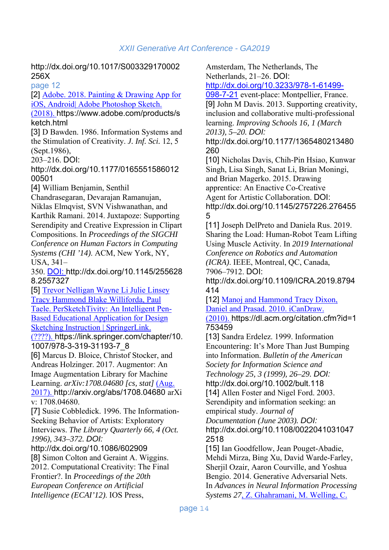http://dx.doi.org/10.1017/S003329170002 256X

page 12

[2] Adobe. 2018. Painting & Drawing App for iOS, Android| Adobe Photoshop Sketch.

(2018). https://www.adobe.com/products/s ketch.html

[3] D Bawden. 1986. Information Systems and the Stimulation of Creativity. *J. Inf. Sci.* 12, 5 (Sept.1986),

203–216. DOI:

http://dx.doi.org/10.1177/0165551586012 00501

[4] William Benjamin, Senthil

Chandrasegaran, Devarajan Ramanujan, Niklas Elmqvist, SVN Vishwanathan, and Karthik Ramani. 2014. Juxtapoze: Supporting Serendipity and Creative Expression in Clipart Compositions. In *Proceedings of the SIGCHI Conference on Human Factors in Computing Systems (CHI '14)*. ACM, New York, NY, USA, 341–

350. DOI: http://dx.doi.org/10.1145/255628 8.2557327

[5] Trevor Nelligan Wayne Li Julie Linsey Tracy Hammond Blake Williforda, Paul Taele. PerSketchTivity: An Intelligent Pen-Based Educational Application for Design Sketching Instruction | SpringerLink.

(????). https://link.springer.com/chapter/10. 1007/978-3-319-31193-7\_8

[6] Marcus D. Bloice, Christof Stocker, and Andreas Holzinger. 2017. Augmentor: An Image Augmentation Library for Machine Learning. *arXiv:1708.04680 [cs, stat]* (Aug. 2017). http://arxiv.org/abs/1708.04680 arXi v: 1708.04680.

[7] Susie Cobbledick. 1996. The Information-Seeking Behavior of Artists: Exploratory Interviews. *The Library Quarterly 66, 4 (Oct. 1996), 343–372. DOI:*

http://dx.doi.org/10.1086/602909

[8] Simon Colton and Geraint A. Wiggins. 2012. Computational Creativity: The Final Frontier?. In *Proceedings of the 20th European Conference on Artificial Intelligence (ECAI'12)*. IOS Press,

Amsterdam, The Netherlands, The Netherlands, 21–26. DOI:

http://dx.doi.org/10.3233/978-1-61499-

098-7-21 event-place: Montpellier, France. [9] John M Davis. 2013. Supporting creativity, inclusion and collaborative multi-professional learning. *Improving Schools 16, 1 (March 2013), 5–20. DOI:*

http://dx.doi.org/10.1177/1365480213480 260

[10] Nicholas Davis, Chih-Pin Hsiao, Kunwar Singh, Lisa Singh, Sanat Li, Brian Moningi, and Brian Magerko. 2015. Drawing apprentice: An Enactive Co-Creative Agent for Artistic Collaboration. DOI: http://dx.doi.org/10.1145/2757226.276455 5

[11] Joseph DelPreto and Daniela Rus. 2019. Sharing the Load: Human-Robot Team Lifting Using Muscle Activity. In *2019 International Conference on Robotics and Automation (ICRA)*. IEEE, Montreal, QC, Canada, 7906–7912. DOI:

http://dx.doi.org/10.1109/ICRA.2019.8794 414

[12] Manoj and Hammond Tracy Dixon, Daniel and Prasad. 2010. iCanDraw.

(2010). https://dl.acm.org/citation.cfm?id=1 753459

[13] Sandra Erdelez. 1999. Information Encountering: It's More Than Just Bumping into Information. *Bulletin of the American Society for Information Science and Technology 25, 3 (1999), 26–29. DOI:* http://dx.doi.org/10.1002/bult.118

[14] Allen Foster and Nigel Ford. 2003. Serendipity and information seeking: an empirical study. *Journal of*

*Documentation (June 2003). DOI:*

http://dx.doi.org/10.1108/0022041031047 2518

[15] Ian Goodfellow, Jean Pouget-Abadie, Mehdi Mirza, Bing Xu, David Warde-Farley, Sherjil Ozair, Aaron Courville, and Yoshua Bengio. 2014. Generative Adversarial Nets. In *Advances in Neural Information Processing Systems 27*, Z. Ghahramani, M. Welling, C.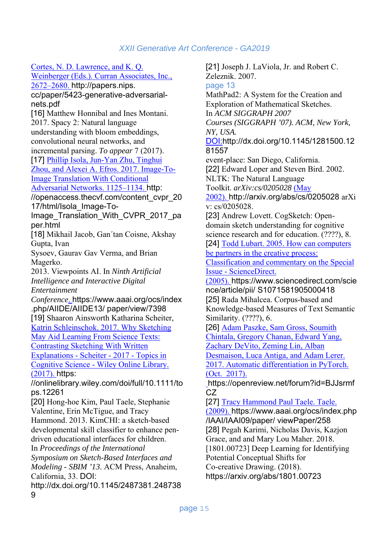Cortes, N. D. Lawrence, and K. Q.

Weinberger (Eds.). Curran Associates, Inc., 2672–2680. http://papers.nips. cc/paper/5423-generative-adversarialnets.pdf [16] Matthew Honnibal and Ines Montani. 2017. Spacy 2: Natural language understanding with bloom embeddings, convolutional neural networks, and incremental parsing. *To appear* 7 (2017). [17] Phillip Isola, Jun-Yan Zhu, Tinghui Zhou, and Alexei A. Efros. 2017. Image-To-Image Translation With Conditional Adversarial Networks. 1125–1134. http: //openaccess.thecvf.com/content\_cvpr\_20 17/html/Isola\_Image-To-Image\_Translation\_With\_CVPR\_2017\_pa per.html [18] Mikhail Jacob, Gan´tan Coisne, Akshay Gupta, Ivan Sysoev, Gaurav Gav Verma, and Brian Magerko. 2013. Viewpoints AI. In *Ninth Artificial Intelligence and Interactive Digital Entertainment Conference*. https://www.aaai.org/ocs/index .php/AIIDE/AIIDE13/ paper/view/7398 [19] Shaaron Ainsworth Katharina Scheiter, Katrin Schleinschok. 2017. Why Sketching May Aid Learning From Science Texts: Contrasting Sketching With Written Explanations - Scheiter - 2017 - Topics in Cognitive Science - Wiley Online Library. (2017). https: //onlinelibrary.wiley.com/doi/full/10.1111/to ps.12261 [20] Hong-hoe Kim, Paul Taele, Stephanie Valentine, Erin McTigue, and Tracy Hammond. 2013. KimCHI: a sketch-based developmental skill classifier to enhance pendriven educational interfaces for children. In *Proceedings of the International Symposium on Sketch-Based Interfaces and Modeling - SBIM '13*. ACM Press, Anaheim, California, 33. DOI: http://dx.doi.org/10.1145/2487381.248738 9

[21] Joseph J. LaViola, Jr. and Robert C. Zeleznik. 2007. page 13 MathPad2: A System for the Creation and Exploration of Mathematical Sketches. In *ACM SIGGRAPH 2007 Courses (SIGGRAPH '07). ACM, New York, NY, USA.*  DOI:http://dx.doi.org/10.1145/1281500.12 81557 event-place: San Diego, California. [22] Edward Loper and Steven Bird. 2002. NLTK: The Natural Language Toolkit. *arXiv:cs/0205028* (May 2002). http://arxiv.org/abs/cs/0205028 arXi v: cs/0205028. [23] Andrew Lovett. CogSketch: Opendomain sketch understanding for cognitive science research and for education. (????), 8. [24] Todd Lubart. 2005. How can computers be partners in the creative process: Classification and commentary on the Special Issue - ScienceDirect. (2005). https://www.sciencedirect.com/scie nce/article/pii/ S1071581905000418 [25] Rada Mihalcea. Corpus-based and Knowledge-based Measures of Text Semantic Similarity. (????), 6. [26] Adam Paszke, Sam Gross, Soumith Chintala, Gregory Chanan, Edward Yang, Zachary DeVito, Zeming Lin, Alban Desmaison, Luca Antiga, and Adam Lerer. 2017. Automatic differentiation in PyTorch. (Oct. 2017). https://openreview.net/forum?id=BJJsrmf  $CZ$ [27] Tracy Hammond Paul Taele. Taele. (2009). https://www.aaai.org/ocs/index.php /IAAI/IAAI09/paper/ viewPaper/258 [28] Pegah Karimi, Nicholas Davis, Kazjon Grace, and and Mary Lou Maher. 2018. [1801.00723] Deep Learning for Identifying Potential Conceptual Shifts for Co-creative Drawing. (2018). https://arxiv.org/abs/1801.00723